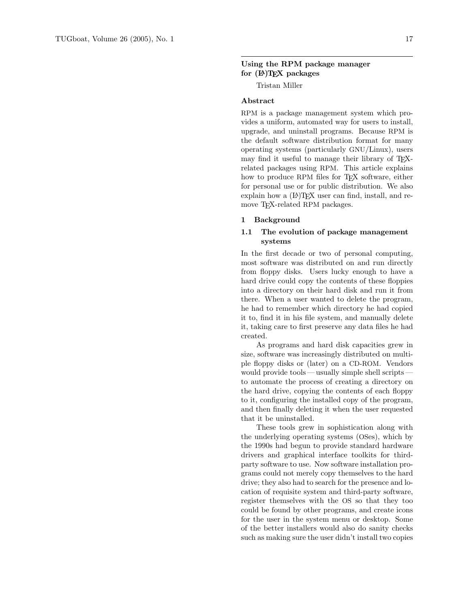# Using the RPM package manager for  $(E)$ TEX packages

Tristan Miller

## Abstract

RPM is a package management system which provides a uniform, automated way for users to install, upgrade, and uninstall programs. Because RPM is the default software distribution format for many operating systems (particularly GNU/Linux), users may find it useful to manage their library of T<sub>E</sub>Xrelated packages using RPM. This article explains how to produce RPM files for TEX software, either for personal use or for public distribution. We also explain how a  $(E)$ T<sub>F</sub>X user can find, install, and remove TEX-related RPM packages.

### 1 Background

# 1.1 The evolution of package management systems

In the first decade or two of personal computing, most software was distributed on and run directly from floppy disks. Users lucky enough to have a hard drive could copy the contents of these floppies into a directory on their hard disk and run it from there. When a user wanted to delete the program, he had to remember which directory he had copied it to, find it in his file system, and manually delete it, taking care to first preserve any data files he had created.

As programs and hard disk capacities grew in size, software was increasingly distributed on multiple floppy disks or (later) on a CD-ROM. Vendors would provide tools — usually simple shell scripts to automate the process of creating a directory on the hard drive, copying the contents of each floppy to it, configuring the installed copy of the program, and then finally deleting it when the user requested that it be uninstalled.

These tools grew in sophistication along with the underlying operating systems (OSes), which by the 1990s had begun to provide standard hardware drivers and graphical interface toolkits for thirdparty software to use. Now software installation programs could not merely copy themselves to the hard drive; they also had to search for the presence and location of requisite system and third-party software, register themselves with the OS so that they too could be found by other programs, and create icons for the user in the system menu or desktop. Some of the better installers would also do sanity checks such as making sure the user didn't install two copies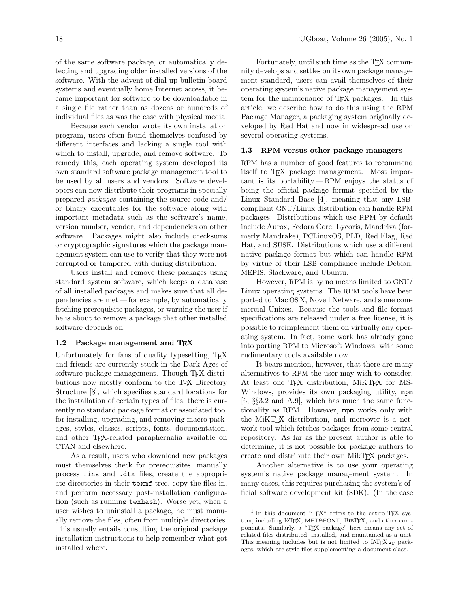of the same software package, or automatically detecting and upgrading older installed versions of the software. With the advent of dial-up bulletin board systems and eventually home Internet access, it became important for software to be downloadable in a single file rather than as dozens or hundreds of individual files as was the case with physical media.

Because each vendor wrote its own installation program, users often found themselves confused by different interfaces and lacking a single tool with which to install, upgrade, and remove software. To remedy this, each operating system developed its own standard software package management tool to be used by all users and vendors. Software developers can now distribute their programs in specially prepared packages containing the source code and/ or binary executables for the software along with important metadata such as the software's name, version number, vendor, and dependencies on other software. Packages might also include checksums or cryptographic signatures which the package management system can use to verify that they were not corrupted or tampered with during distribution.

Users install and remove these packages using standard system software, which keeps a database of all installed packages and makes sure that all dependencies are met— for example, by automatically fetching prerequisite packages, or warning the user if he is about to remove a package that other installed software depends on.

#### 1.2 Package management and T<sub>E</sub>X

Unfortunately for fans of quality typesetting, T<sub>EX</sub> and friends are currently stuck in the Dark Ages of software package management. Though T<sub>E</sub>X distributions now mostly conform to the T<sub>EX</sub> Directory Structure [\[8\]](#page-11-0), which specifies standard locations for the installation of certain types of files, there is currently no standard package format or associated tool for installing, upgrading, and removing macro packages, styles, classes, scripts, fonts, documentation, and other TEX-related paraphernalia available on CTAN and elsewhere.

As a result, users who download new packages must themselves check for prerequisites, manually process .ins and .dtx files, create the appropriate directories in their texmf tree, copy the files in, and perform necessary post-installation configuration (such as running texhash). Worse yet, when a user wishes to uninstall a package, he must manually remove the files, often from multiple directories. This usually entails consulting the original package installation instructions to help remember what got installed where.

Fortunately, until such time as the T<sub>E</sub>X community develops and settles on its own package management standard, users can avail themselves of their operating system's native package management sys-tem for the maintenance of T<sub>E</sub>X packages.<sup>[1](#page-1-0)</sup> In this article, we describe how to do this using the RPM Package Manager, a packaging system originally developed by Red Hat and now in widespread use on several operating systems.

### 1.3 RPM versus other package managers

RPM has a number of good features to recommend itself to TEX package management. Most important is its portability—RPM enjoys the status of being the official package format specified by the Linux Standard Base [\[4\]](#page-10-0), meaning that any LSBcompliant GNU/Linux distribution can handle RPM packages. Distributions which use RPM by default include Aurox, Fedora Core, Lycoris, Mandriva (formerly Mandrake), PCLinuxOS, PLD, Red Flag, Red Hat, and SUSE. Distributions which use a different native package format but which can handle RPM by virtue of their LSB compliance include Debian, MEPIS, Slackware, and Ubuntu.

However, RPM is by no means limited to GNU/ Linux operating systems. The RPM tools have been ported to Mac OS X, Novell Netware, and some commercial Unixes. Because the tools and file format specifications are released under a free license, it is possible to reimplement them on virtually any operating system. In fact, some work has already gone into porting RPM to Microsoft Windows, with some rudimentary tools available now.

It bears mention, however, that there are many alternatives to RPM the user may wish to consider. At least one TFX distribution, MiKTFX for MS-Windows, provides its own packaging utility, mpm  $[6, \S\S 3.2 \S 4.9]$  $[6, \S\S 3.2 \S 4.9]$ , which has much the same functionality as RPM. However, mpm works only with the MiKT<sub>F</sub>X distribution, and moreover is a network tool which fetches packages from some central repository. As far as the present author is able to determine, it is not possible for package authors to create and distribute their own MikTEX packages.

Another alternative is to use your operating system's native package management system. In many cases, this requires purchasing the system's official software development kit (SDK). (In the case

<span id="page-1-0"></span><sup>&</sup>lt;sup>1</sup> In this document "TEX" refers to the entire TEX system, including LAT<sub>EX</sub>, METAFONT, BIBT<sub>EX</sub>, and other components. Similarly, a "TEX package" here means any set of related files distributed, installed, and maintained as a unit. This meaning includes but is not limited to  $\text{LATEX } 2\varepsilon$  packages, which are style files supplementing a document class.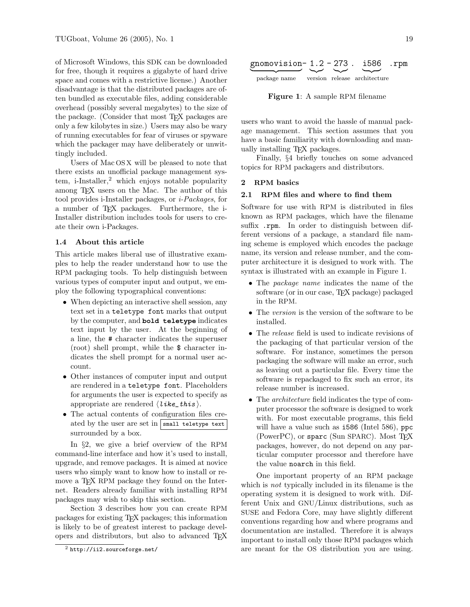of Microsoft Windows, this SDK can be downloaded for free, though it requires a gigabyte of hard drive space and comes with a restrictive license.) Another disadvantage is that the distributed packages are often bundled as executable files, adding considerable overhead (possibly several megabytes) to the size of the package. (Consider that most TEX packages are only a few kilobytes in size.) Users may also be wary of running executables for fear of viruses or spyware which the packager may have deliberately or unwittingly included.

Users of Mac OS X will be pleased to note that there exists an unofficial package management system, i-Installer, $^2$  $^2$  which enjoys notable popularity among TEX users on the Mac. The author of this tool provides i-Installer packages, or i-Packages, for a number of TEX packages. Furthermore, the i-Installer distribution includes tools for users to create their own i-Packages.

#### 1.4 About this article

This article makes liberal use of illustrative examples to help the reader understand how to use the RPM packaging tools. To help distinguish between various types of computer input and output, we employ the following typographical conventions:

- When depicting an interactive shell session, any text set in a teletype font marks that output by the computer, and **bold teletype** indicates text input by the user. At the beginning of a line, the # character indicates the superuser (root) shell prompt, while the \$ character indicates the shell prompt for a normal user account.
- Other instances of computer input and output are rendered in a teletype font. Placeholders for arguments the user is expected to specify as appropriate are rendered  $\langle$  like\_this  $\rangle$ .
- The actual contents of configuration files created by the user are set in  $\sqrt{\frac{1}{1}}$  small teletype text surrounded by a box.

In §[2,](#page-2-1) we give a brief overview of the RPM command-line interface and how it's used to install, upgrade, and remove packages. It is aimed at novice users who simply want to know how to install or remove a T<sub>EX</sub> RPM package they found on the Internet. Readers already familiar with installing RPM packages may wish to skip this section.

Section [3](#page-4-0) describes how you can create RPM packages for existing TEX packages; this information is likely to be of greatest interest to package developers and distributors, but also to advanced TEX



<span id="page-2-2"></span>Figure 1: A sample RPM filename

users who want to avoid the hassle of manual package management. This section assumes that you have a basic familiarity with downloading and manually installing TEX packages.

Finally, §[4](#page-10-2) briefly touches on some advanced topics for RPM packagers and distributors.

### <span id="page-2-1"></span>2 RPM basics

### <span id="page-2-3"></span>2.1 RPM files and where to find them

Software for use with RPM is distributed in files known as RPM packages, which have the filename suffix .rpm. In order to distinguish between different versions of a package, a standard file naming scheme is employed which encodes the package name, its version and release number, and the computer architecture it is designed to work with. The syntax is illustrated with an example in Figure [1.](#page-2-2)

- The *package name* indicates the name of the software (or in our case, TEX package) packaged in the RPM.
- The version is the version of the software to be installed.
- The *release* field is used to indicate revisions of the packaging of that particular version of the software. For instance, sometimes the person packaging the software will make an error, such as leaving out a particular file. Every time the software is repackaged to fix such an error, its release number is increased.
- The architecture field indicates the type of computer processor the software is designed to work with. For most executable programs, this field will have a value such as **1586** (Intel 586), ppc (PowerPC), or sparc (Sun SPARC). Most T<sub>F</sub>X packages, however, do not depend on any particular computer processor and therefore have the value noarch in this field.

One important property of an RPM package which is *not* typically included in its filename is the operating system it is designed to work with. Different Unix and GNU/Linux distributions, such as SUSE and Fedora Core, may have slightly different conventions regarding how and where programs and documentation are installed. Therefore it is always important to install only those RPM packages which are meant for the OS distribution you are using.

<span id="page-2-0"></span> $^{2}$  <http://ii2.sourceforge.net/>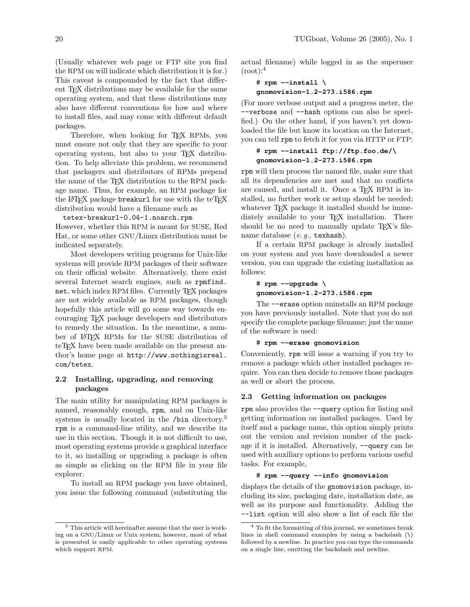(Usually whatever web page or FTP site you find the RPM on will indicate which distribution it is for.) This caveat is compounded by the fact that different TEX distributions may be available for the same operating system, and that these distributions may also have different conventions for how and where to install files, and may come with different default packages.

Therefore, when looking for TFX RPMs, you must ensure not only that they are specific to your operating system, but also to your TEX distribution. To help alleviate this problem, we recommend that packagers and distributors of RPMs prepend the name of the T<sub>E</sub>X distribution to the RPM package name. Thus, for example, an RPM package for the LAT<sub>EX</sub> package breakurl for use with the teT<sub>EX</sub> distribution would have a filename such as

tetex-breakurl-0.04-1.noarch.rpm However, whether this RPM is meant for SUSE, Red

Hat, or some other GNU/Linux distribution must be indicated separately.

Most developers writing programs for Unix-like systems will provide RPM packages of their software on their official website. Alternatively, there exist several Internet search engines, such as [rpmfind.](http://rpmfind.net/) [net](http://rpmfind.net/), which index RPM files. Currently T<sub>F</sub>X packages are not widely available as RPM packages, though hopefully this article will go some way towards encouraging TEX package developers and distributors to remedy the situation. In the meantime, a number of LATEX RPMs for the SUSE distribution of teT<sub>EX</sub> have been made available on the present author's home page at [http://www.nothingisreal.](http://www.nothingisreal.com/tetex) [com/tetex](http://www.nothingisreal.com/tetex).

# <span id="page-3-2"></span>2.2 Installing, upgrading, and removing packages

The main utility for manipulating RPM packages is named, reasonably enough, rpm, and on Unix-like systems is usually located in the /bin directory.<sup>[3](#page-3-0)</sup> rpm is a command-line utility, and we describe its use in this section. Though it is not difficult to use, most operating systems provide a graphical interface to it, so installing or upgrading a package is often as simple as clicking on the RPM file in your file explorer.

To install an RPM package you have obtained, you issue the following command (substituting the actual filename) while logged in as the superuser  $(root):$ <sup>[4](#page-3-1)</sup>

$$
\begin{array}{c}\n# \text{ rpm --install } \setminus \\
 \text{gnomovision-1.2-273. i586. rpm}\n \end{array}
$$

(For more verbose output and a progress meter, the --verbose and --hash options can also be specified.) On the other hand, if you haven't yet downloaded the file but know its location on the Internet, you can tell rpm to fetch it for you via HTTP or FTP:

# # **rpm --install ftp://ftp.foo.de/\ gnomovision-1.2-273.i586.rpm**

rpm will then process the named file, make sure that all its dependencies are met and that no conflicts are caused, and install it. Once a T<sub>E</sub>X RPM is installed, no further work or setup should be needed; whatever T<sub>F</sub>X package it installed should be immediately available to your T<sub>EX</sub> installation. There should be no need to manually update T<sub>EX</sub>'s filename database  $(e, q, \texttt{texhash})$ .

If a certain RPM package is already installed on your system and you have downloaded a newer version, you can upgrade the existing installation as follows:

# # **rpm --upgrade \ gnomovision-1.2-273.i586.rpm**

The --erase option uninstalls an RPM package you have previously installed. Note that you do not specify the complete package filename; just the name of the software is used:

## # **rpm --erase gnomovision**

Conveniently, rpm will issue a warning if you try to remove a package which other installed packages require. You can then decide to remove those packages as well or abort the process.

# 2.3 Getting information on packages

rpm also provides the --query option for listing and getting information on installed packages. Used by itself and a package name, this option simply prints out the version and revision number of the package if it is installed. Alternatively, --query can be used with auxiliary options to perform various useful tasks. For example,

### # **rpm --query --info gnomovision**

displays the details of the gnomovision package, including its size, packaging date, installation date, as well as its purpose and functionality. Adding the --list option will also show a list of each file the

<span id="page-3-0"></span> $^3$  This article will hereinafter assume that the user is working on a GNU/Linux or Unix system; however, most of what is presented is easily applicable to other operating systems which support RPM.

<span id="page-3-1"></span><sup>4</sup> To fit the formatting of this journal, we sometimes break lines in shell command examples by using a backslash  $(\lambda)$ followed by a newline. In practice you can type the commands on a single line, omitting the backslash and newline.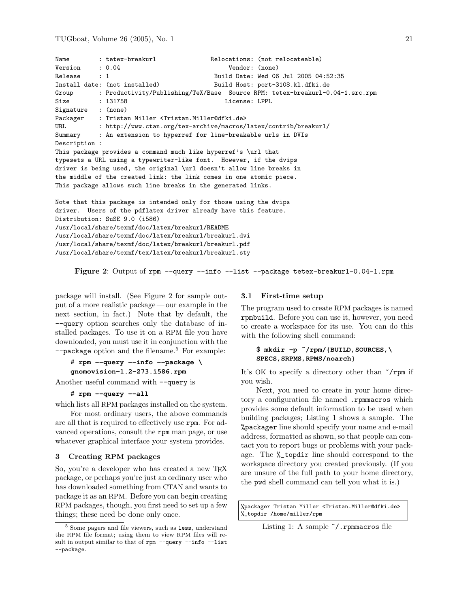```
Name : tetex-breakurl Relocations: (not relocateable)
Version : 0.04 Vendor: (none)
Release : 1 Build Date: Wed 06 Jul 2005 04:52:35
Install date: (not installed) Build Host: port-3108.kl.dfki.de
Group : Productivity/Publishing/TeX/Base Source RPM: tetex-breakurl-0.04-1.src.rpm
Size : 131758 License: LPPL<br>Signature : (none)
Signature
Packager : Tristan Miller <Tristan.Miller@dfki.de>
URL : http://www.ctan.org/tex-archive/macros/latex/contrib/breakurl/
Summary : An extension to hyperref for line-breakable urls in DVIs
Description :
This package provides a command much like hyperref's \url that
typesets a URL using a typewriter-like font. However, if the dvips
driver is being used, the original \url doesn't allow line breaks in
the middle of the created link: the link comes in one atomic piece.
This package allows such line breaks in the generated links.
Note that this package is intended only for those using the dvips
driver. Users of the pdflatex driver already have this feature.
Distribution: SuSE 9.0 (i586)
/usr/local/share/texmf/doc/latex/breakurl/README
/usr/local/share/texmf/doc/latex/breakurl/breakurl.dvi
/usr/local/share/texmf/doc/latex/breakurl/breakurl.pdf
```
/usr/local/share/texmf/tex/latex/breakurl/breakurl.sty

<span id="page-4-1"></span>Figure 2: Output of rpm --query --info --list --package tetex-breakurl-0.04-1.rpm

package will install. (See Figure [2](#page-4-1) for sample output of a more realistic package — our example in the next section, in fact.) Note that by default, the --query option searches only the database of installed packages. To use it on a RPM file you have downloaded, you must use it in conjunction with the --package option and the filename.[5](#page-4-2) For example:

```
# rpm --query --info --package \
gnomovision-1.2-273.i586.rpm
```
Another useful command with  $\neg$ -query is

```
# rpm --query --all
```
which lists all RPM packages installed on the system.

For most ordinary users, the above commands are all that is required to effectively use rpm. For advanced operations, consult the rpm man page, or use whatever graphical interface your system provides.

### <span id="page-4-0"></span>3 Creating RPM packages

So, you're a developer who has created a new T<sub>EX</sub> package, or perhaps you're just an ordinary user who has downloaded something from CTAN and wants to package it as an RPM. Before you can begin creating RPM packages, though, you first need to set up a few things; these need be done only once.

### <span id="page-4-4"></span>3.1 First-time setup

The program used to create RPM packages is named rpmbuild. Before you can use it, however, you need to create a workspace for its use. You can do this with the following shell command:

## \$ **mkdir -p ˜/rpm/{BUILD,SOURCES,\ SPECS,SRPMS,RPMS/noarch}**

It's OK to specify a directory other than  $\gamma$ rpm if you wish.

Next, you need to create in your home directory a configuration file named .rpmmacros which provides some default information to be used when building packages; Listing [1](#page-4-3) shows a sample. The %packager line should specify your name and e-mail address, formatted as shown, so that people can contact you to report bugs or problems with your package. The %\_topdir line should correspond to the workspace directory you created previously. (If you are unsure of the full path to your home directory, the pwd shell command can tell you what it is.)

<span id="page-4-3"></span>%packager Tristan Miller <Tristan.Miller@dfki.de> %\_topdir /home/miller/rpm

Listing 1: A sample  $\check{\ }$  /. rpmmacros file

<span id="page-4-2"></span><sup>5</sup> Some pagers and file viewers, such as less, understand the RPM file format; using them to view RPM files will result in output similar to that of rpm --query --info --list --package.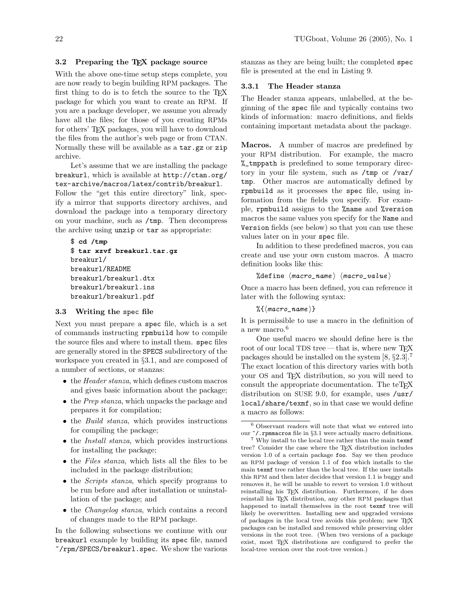## <span id="page-5-2"></span>3.2 Preparing the TEX package source

With the above one-time setup steps complete, you are now ready to begin building RPM packages. The first thing to do is to fetch the source to the T<sub>E</sub>X package for which you want to create an RPM. If you are a package developer, we assume you already have all the files; for those of you creating RPMs for others' TEX packages, you will have to download the files from the author's web page or from CTAN. Normally these will be available as a tar.gz or zip archive.

Let's assume that we are installing the package breakurl, which is available at [http://ctan.org/](http://ctan.org/tex-archive/macros/latex/contrib/breakurl) [tex-archive/macros/latex/contrib/breakurl](http://ctan.org/tex-archive/macros/latex/contrib/breakurl).

Follow the "get this entire directory" link, specify a mirror that supports directory archives, and download the package into a temporary directory on your machine, such as /tmp. Then decompress the archive using unzip or tar as appropriate:

```
$ cd /tmp
$ tar xzvf breakurl.tar.gz
breakurl/
breakurl/README
breakurl/breakurl.dtx
breakurl/breakurl.ins
breakurl/breakurl.pdf
```
### 3.3 Writing the spec file

Next you must prepare a spec file, which is a set of commands instructing rpmbuild how to compile the source files and where to install them. spec files are generally stored in the SPECS subdirectory of the workspace you created in §[3.1,](#page-4-4) and are composed of a number of sections, or stanzas:

- the *Header stanza*, which defines custom macros and gives basic information about the package;
- the *Prep stanza*, which unpacks the package and prepares it for compilation;
- the Build stanza, which provides instructions for compiling the package;
- the *Install stanza*, which provides instructions for installing the package;
- the Files stanza, which lists all the files to be included in the package distribution;
- the *Scripts stanza*, which specify programs to be run before and after installation or uninstallation of the package; and
- the Changelog stanza, which contains a record of changes made to the RPM package.

In the following subsections we continue with our breakurl example by building its spec file, named ~/rpm/SPECS/breakurl.spec. We show the various

stanzas as they are being built; the completed spec file is presented at the end in Listing [9.](#page-11-1)

#### 3.3.1 The Header stanza

The Header stanza appears, unlabelled, at the beginning of the spec file and typically contains two kinds of information: macro definitions, and fields containing important metadata about the package.

Macros. A number of macros are predefined by your RPM distribution. For example, the macro %\_tmppath is predefined to some temporary directory in your file system, such as /tmp or /var/ tmp. Other macros are automatically defined by rpmbuild as it processes the spec file, using information from the fields you specify. For example, rpmbuild assigns to the %name and %version macros the same values you specify for the Name and Version fields (see below) so that you can use these values later on in your spec file.

In addition to these predefined macros, you can create and use your own custom macros. A macro definition looks like this:

%define  $\langle macro\_name \rangle$   $\langle macro\_value \rangle$ 

Once a macro has been defined, you can reference it later with the following syntax:

 $\mathcal{H}\{\langle macro\_name\}\}$ 

It is permissible to use a macro in the definition of a new macro.<sup>[6](#page-5-0)</sup>

One useful macro we should define here is the root of our local TDS tree — that is, where new TFX packages should be installed on the system  $[8, §2.3]$  $[8, §2.3]$ . The exact location of this directory varies with both your OS and TEX distribution, so you will need to consult the appropriate documentation. The teT<sub>EX</sub> distribution on SUSE 9.0, for example, uses /usr/ local/share/texmf, so in that case we would define a macro as follows:

<span id="page-5-0"></span> $^6$  Observant readers will note that what we entered into our  $\gamma$ . rpmmacros file in §[3.1](#page-4-4) were actually macro definitions.

<span id="page-5-1"></span><sup>7</sup> Why install to the local tree rather than the main texmf tree? Consider the case where the TEX distribution includes version 1.0 of a certain package foo. Say we then produce an RPM package of version 1.1 of foo which installs to the main texmf tree rather than the local tree. If the user installs this RPM and then later decides that version 1.1 is buggy and removes it, he will be unable to revert to version 1.0 without reinstalling his TEX distribution. Furthermore, if he does reinstall his TEX distribution, any other RPM packages that happened to install themselves in the root texmf tree will likely be overwritten. Installing new and upgraded versions of packages in the local tree avoids this problem; new TEX packages can be installed and removed while preserving older versions in the root tree. (When two versions of a package exist, most TEX distributions are configured to prefer the local-tree version over the root-tree version.)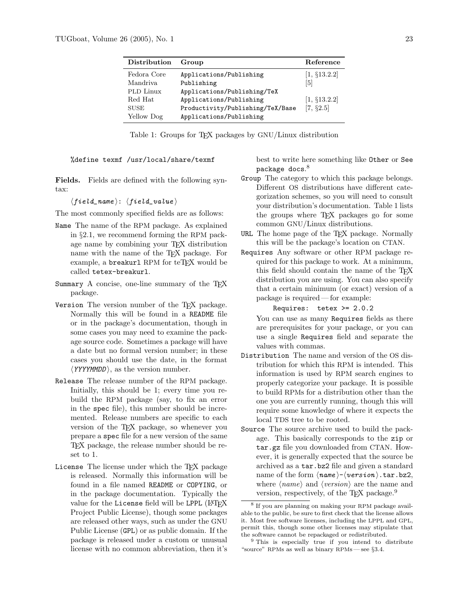| Distribution     | Group                            | Reference       |
|------------------|----------------------------------|-----------------|
| Fedora Core      | Applications/Publishing          | $[1, \S13.2.2]$ |
| Mandriva         | Publishing                       | [5]             |
| <b>PLD</b> Linux | Applications/Publishing/TeX      |                 |
| Red Hat          | Applications/Publishing          | [1, §13.2.2]    |
| <b>SUSE</b>      | Productivity/Publishing/TeX/Base | [7, §2.5]       |
| Yellow Dog       | Applications/Publishing          |                 |

<span id="page-6-1"></span>Table 1: Groups for T<sub>E</sub>X packages by GNU/Linux distribution

%define texmf /usr/local/share/texmf

Fields. Fields are defined with the following syntax:

 $\langle field\_name \rangle: \langle field\_value \rangle$ 

The most commonly specified fields are as follows:

- Name The name of the RPM package. As explained in §[2.1,](#page-2-3) we recommend forming the RPM package name by combining your TEX distribution name with the name of the TEX package. For example, a **breakurl** RPM for teT<sub>F</sub>X would be called tetex-breakurl.
- Summary A concise, one-line summary of the TEX package.
- Version The version number of the TEX package. Normally this will be found in a README file or in the package's documentation, though in some cases you may need to examine the package source code. Sometimes a package will have a date but no formal version number; in these cases you should use the date, in the format  $\langle$ *YYYYMMDD* $\rangle$ , as the version number.
- Release The release number of the RPM package. Initially, this should be 1; every time you rebuild the RPM package (say, to fix an error in the spec file), this number should be incremented. Release numbers are specific to each version of the TEX package, so whenever you prepare a spec file for a new version of the same TEX package, the release number should be reset to 1.
- License The license under which the TEX package is released. Normally this information will be found in a file named README or COPYING, or in the package documentation. Typically the value for the License field will be LPPL (LAT<sub>F</sub>X Project Public License), though some packages are released other ways, such as under the GNU Public License (GPL) or as public domain. If the package is released under a custom or unusual license with no common abbreviation, then it's

best to write here something like Other or See  $\mathop{{\rm package}}\nolimits$  docs. $^8$  $^8$ 

- Group The category to which this package belongs. Different OS distributions have different categorization schemes, so you will need to consult your distribution's documentation. Table [1](#page-6-1) lists the groups where TEX packages go for some common GNU/Linux distributions.
- URL The home page of the T<sub>EX</sub> package. Normally this will be the package's location on CTAN.
- Requires Any software or other RPM package required for this package to work. At a minimum, this field should contain the name of the TEX distribution you are using. You can also specify that a certain minimum (or exact) version of a package is required— for example:

Requires: tetex >= 2.0.2

You can use as many Requires fields as there are prerequisites for your package, or you can use a single Requires field and separate the values with commas.

- Distribution The name and version of the OS distribution for which this RPM is intended. This information is used by RPM search engines to properly categorize your package. It is possible to build RPMs for a distribution other than the one you are currently running, though this will require some knowledge of where it expects the local TDS tree to be rooted.
- Source The source archive used to build the package. This basically corresponds to the zip or tar.gz file you downloaded from CTAN. However, it is generally expected that the source be archived as a tar.bz2 file and given a standard name of the form  $\langle name \rangle - \langle version \rangle$ .tar.bz2, where  $\langle name \rangle$  and  $\langle version \rangle$  are the name and version, respectively, of the T<sub>E</sub>X package.<sup>[9](#page-6-2)</sup>

<span id="page-6-0"></span><sup>8</sup> If you are planning on making your RPM package available to the public, be sure to first check that the license allows it. Most free software licenses, including the LPPL and GPL, permit this, though some other licenses may stipulate that the software cannot be repackaged or redistributed.

<span id="page-6-2"></span><sup>9</sup> This is especially true if you intend to distribute "source" RPMs as well as binary RPMs— see §[3.4.](#page-10-6)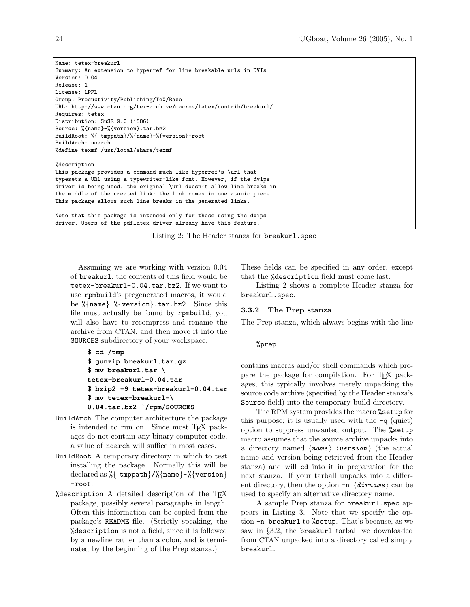```
Name: tetex-breakurl
Summary: An extension to hyperref for line-breakable urls in DVIs
Version: 0.04
Release: 1
License: LPPL
Group: Productivity/Publishing/TeX/Base
URL: http://www.ctan.org/tex-archive/macros/latex/contrib/breakurl/
Requires: tetex
Distribution: SuSE 9.0 (i586)
Source: %{name}-%{version}.tar.bz2
BuildRoot: %{_tmppath}/%{name}-%{version}-root
BuildArch: noarch
%define texmf /usr/local/share/texmf
%description
This package provides a command much like hyperref's \url that
typesets a URL using a typewriter-like font. However, if the dvips
driver is being used, the original \url doesn't allow line breaks in
the middle of the created link: the link comes in one atomic piece.
This package allows such line breaks in the generated links.
Note that this package is intended only for those using the dvips
driver. Users of the pdflatex driver already have this feature.
```
Listing 2: The Header stanza for breakurl.spec

Assuming we are working with version 0.04 of breakurl, the contents of this field would be tetex-breakurl-0.04.tar.bz2. If we want to use rpmbuild's pregenerated macros, it would be %{name}-%{version}.tar.bz2. Since this file must actually be found by rpmbuild, you will also have to recompress and rename the archive from CTAN, and then move it into the SOURCES subdirectory of your workspace:

```
$ cd /tmp
$ gunzip breakurl.tar.gz
$ mv breakurl.tar \
tetex-breakurl-0.04.tar
$ bzip2 -9 tetex-breakurl-0.04.tar
$ mv tetex-breakurl-\
0.04.tar.bz2 ˜/rpm/SOURCES
```
- BuildArch The computer architecture the package is intended to run on. Since most TEX packages do not contain any binary computer code, a value of noarch will suffice in most cases.
- BuildRoot A temporary directory in which to test installing the package. Normally this will be declared as  $\{\{-\mathrm{tmppath}\}\}$  ( $\{\mathrm{name}\}-\{\{\mathrm{version}\}\}$ -root.
- %description A detailed description of the TEX package, possibly several paragraphs in length. Often this information can be copied from the package's README file. (Strictly speaking, the %description is not a field, since it is followed by a newline rather than a colon, and is terminated by the beginning of the Prep stanza.)

These fields can be specified in any order, except that the %description field must come last.

Listing [2](#page-7-0) shows a complete Header stanza for breakurl.spec.

## 3.3.2 The Prep stanza

The Prep stanza, which always begins with the line

%prep

contains macros and/or shell commands which prepare the package for compilation. For TEX packages, this typically involves merely unpacking the source code archive (specified by the Header stanza's Source field) into the temporary build directory.

The RPM system provides the macro %setup for this purpose; it is usually used with the  $-q$  (quiet) option to suppress unwanted output. The %setup macro assumes that the source archive unpacks into a directory named  $\langle name \rangle - \langle version \rangle$  (the actual name and version being retrieved from the Header stanza) and will cd into it in preparation for the next stanza. If your tarball unpacks into a different directory, then the option  $-n \langle$  *dirname*  $\rangle$  can be used to specify an alternative directory name.

A sample Prep stanza for breakurl.spec appears in Listing [3.](#page-8-0) Note that we specify the option -n breakurl to %setup. That's because, as we saw in §[3.2,](#page-5-2) the breakurl tarball we downloaded from CTAN unpacked into a directory called simply breakurl.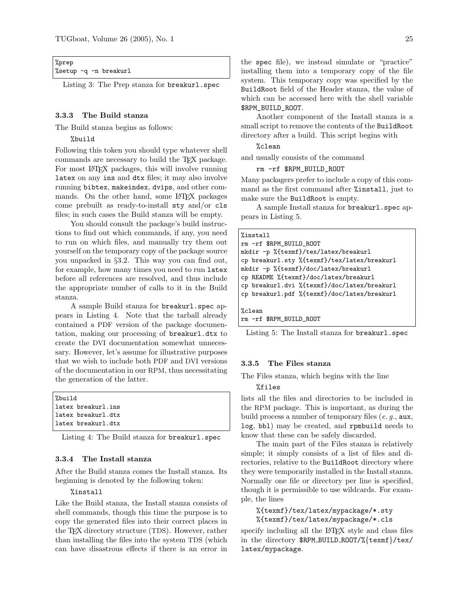<span id="page-8-0"></span>

| %prep                 |  |
|-----------------------|--|
| %setup -q -n breakurl |  |

Listing 3: The Prep stanza for breakurl.spec

#### 3.3.3 The Build stanza

The Build stanza begins as follows:

%build

Following this token you should type whatever shell commands are necessary to build the TEX package. For most L<sup>AT</sup>EX packages, this will involve running latex on any ins and dtx files; it may also involve running bibtex, makeindex, dvips, and other commands. On the other hand, some LAT<sub>EX</sub> packages come prebuilt as ready-to-install sty and/or cls files; in such cases the Build stanza will be empty.

You should consult the package's build instructions to find out which commands, if any, you need to run on which files, and manually try them out yourself on the temporary copy of the package source you unpacked in §[3.2.](#page-5-2) This way you can find out, for example, how many times you need to run latex before all references are resolved, and thus include the appropriate number of calls to it in the Build stanza.

A sample Build stanza for breakurl.spec appears in Listing [4.](#page-8-1) Note that the tarball already contained a PDF version of the package documentation, making our processing of breakurl.dtx to create the DVI documentation somewhat unnecessary. However, let's assume for illustrative purposes that we wish to include both PDF and DVI versions of the documentation in our RPM, thus necessitating the generation of the latter.

<span id="page-8-1"></span>

| %build |                    |  |
|--------|--------------------|--|
|        | latex breakurl.ins |  |
|        | latex breakurl.dtx |  |
|        | latex breakurl.dtx |  |

Listing 4: The Build stanza for breakurl.spec

## 3.3.4 The Install stanza

After the Build stanza comes the Install stanza. Its beginning is denoted by the following token:

# %install

Like the Build stanza, the Install stanza consists of shell commands, though this time the purpose is to copy the generated files into their correct places in the TEX directory structure (TDS). However, rather than installing the files into the system TDS (which can have disastrous effects if there is an error in

the spec file), we instead simulate or "practice" installing them into a temporary copy of the file system. This temporary copy was specified by the BuildRoot field of the Header stanza, the value of which can be accessed here with the shell variable \$RPM\_BUILD\_ROOT.

Another component of the Install stanza is a small script to remove the contents of the BuildRoot directory after a build. This script begins with

%clean

and usually consists of the command

rm -rf \$RPM\_BUILD\_ROOT

Many packagers prefer to include a copy of this command as the first command after %install, just to make sure the BuildRoot is empty.

A sample Install stanza for breakurl.spec appears in Listing [5.](#page-8-2)

<span id="page-8-2"></span>

| %install                                    |
|---------------------------------------------|
| rm -rf \$RPM_BUILD_ROOT                     |
| mkdir -p %{texmf}/tex/latex/breakurl        |
| cp breakurl.sty %{texmf}/tex/latex/breakurl |
| mkdir -p %{texmf}/doc/latex/breakurl        |
| cp README %{texmf}/doc/latex/breakurl       |
| cp breakurl.dvi %{texmf}/doc/latex/breakurl |
| cp breakurl.pdf %{texmf}/doc/latex/breakurl |
|                                             |
| %clean                                      |
| rm -rf \$RPM_BUILD_ROOT                     |

Listing 5: The Install stanza for breakurl.spec

#### 3.3.5 The Files stanza

The Files stanza, which begins with the line

### %files

lists all the files and directories to be included in the RPM package. This is important, as during the build process a number of temporary files  $(e, q, \text{aux})$ , log, bbl) may be created, and rpmbuild needs to know that these can be safely discarded.

The main part of the Files stanza is relatively simple; it simply consists of a list of files and directories, relative to the BuildRoot directory where they were temporarily installed in the Install stanza. Normally one file or directory per line is specified, though it is permissible to use wildcards. For example, the lines

%{texmf}/tex/latex/mypackage/\*.sty %{texmf}/tex/latex/mypackage/\*.cls

specify including all the LATEX style and class files in the directory \$RPM BUILD ROOT/%{texmf}/tex/ latex/mypackage.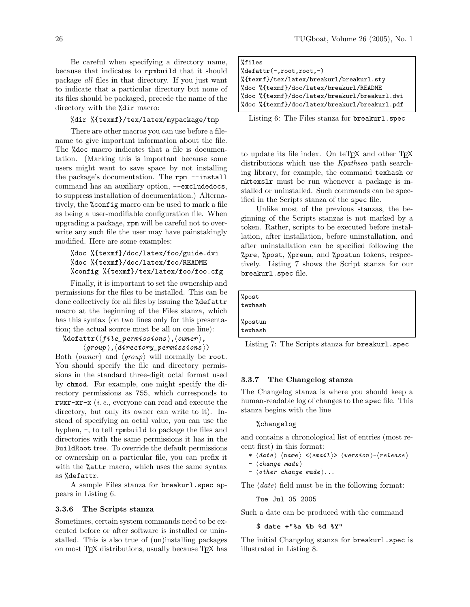Be careful when specifying a directory name, because that indicates to rpmbuild that it should package all files in that directory. If you just want to indicate that a particular directory but none of its files should be packaged, precede the name of the directory with the %dir macro:

### %dir %{texmf}/tex/latex/mypackage/tmp

There are other macros you can use before a filename to give important information about the file. The *L*<sub>doc</sub> macro indicates that a file is documentation. (Marking this is important because some users might want to save space by not installing the package's documentation. The rpm --install command has an auxiliary option, --excludedocs, to suppress installation of documentation.) Alternatively, the %config macro can be used to mark a file as being a user-modifiable configuration file. When upgrading a package, rpm will be careful not to overwrite any such file the user may have painstakingly modified. Here are some examples:

# %doc %{texmf}/doc/latex/foo/guide.dvi %doc %{texmf}/doc/latex/foo/README %config %{texmf}/tex/latex/foo/foo.cfg

Finally, it is important to set the ownership and permissions for the files to be installed. This can be done collectively for all files by issuing the %defattr macro at the beginning of the Files stanza, which has this syntax (on two lines only for this presentation; the actual source must be all on one line):

# $\%$ defattr $(\langle file\_permissions \rangle, \langle owner \rangle,$

 $\langle \textit{group} \rangle, \langle \textit{directory\_permissions} \rangle)$ Both  $\langle owner \rangle$  and  $\langle group \rangle$  will normally be root. You should specify the file and directory permissions in the standard three-digit octal format used by chmod. For example, one might specify the directory permissions as 755, which corresponds to rwxr-xr-x (i. e., everyone can read and execute the directory, but only its owner can write to it). Instead of specifying an octal value, you can use the hyphen, -, to tell rpmbuild to package the files and directories with the same permissions it has in the BuildRoot tree. To override the default permissions or ownership on a particular file, you can prefix it with the %attr macro, which uses the same syntax as %defattr.

A sample Files stanza for breakurl.spec appears in Listing [6.](#page-9-0)

#### 3.3.6 The Scripts stanza

Sometimes, certain system commands need to be executed before or after software is installed or uninstalled. This is also true of (un)installing packages on most T<sub>F</sub>X distributions, usually because T<sub>F</sub>X has

<span id="page-9-0"></span>

| %files                                        |  |  |
|-----------------------------------------------|--|--|
| $%$ defattr $(-, root, root, -)$              |  |  |
| %{texmf}/tex/latex/breakurl/breakurl.sty      |  |  |
| %doc %{texmf}/doc/latex/breakurl/README       |  |  |
| %doc %{texmf}/doc/latex/breakurl/breakurl.dvi |  |  |
| %doc %{texmf}/doc/latex/breakurl/breakurl.pdf |  |  |
|                                               |  |  |

Listing 6: The Files stanza for breakurl.spec

to update its file index. On teTFX and other TFX distributions which use the Kpathsea path searching library, for example, the command texhash or mktexslr must be run whenever a package is installed or uninstalled. Such commands can be specified in the Scripts stanza of the spec file.

Unlike most of the previous stanzas, the beginning of the Scripts stanzas is not marked by a token. Rather, scripts to be executed before installation, after installation, before uninstallation, and after uninstallation can be specified following the %pre, %post, %preun, and %postun tokens, respectively. Listing [7](#page-9-1) shows the Script stanza for our breakurl.spec file.

<span id="page-9-1"></span>

| %post<br>texhash   |  |  |  |
|--------------------|--|--|--|
| %postun<br>texhash |  |  |  |

Listing 7: The Scripts stanza for breakurl.spec

#### 3.3.7 The Changelog stanza

The Changelog stanza is where you should keep a human-readable log of changes to the spec file. This stanza begins with the line

#### %changelog

and contains a chronological list of entries (most recent first) in this format:

- \*  $\langle date \rangle$   $\langle name \rangle$  < $\langle email \rangle$   $\langle version \rangle$ - $\langle release \rangle$
- $\langle change \; made \rangle$
- $\langle$  other change made  $\rangle$ ...

The  $\langle date \rangle$  field must be in the following format:

Tue Jul 05 2005

Such a date can be produced with the command

### \$ **date +"%a %b %d %Y"**

The initial Changelog stanza for breakurl.spec is illustrated in Listing [8.](#page-10-7)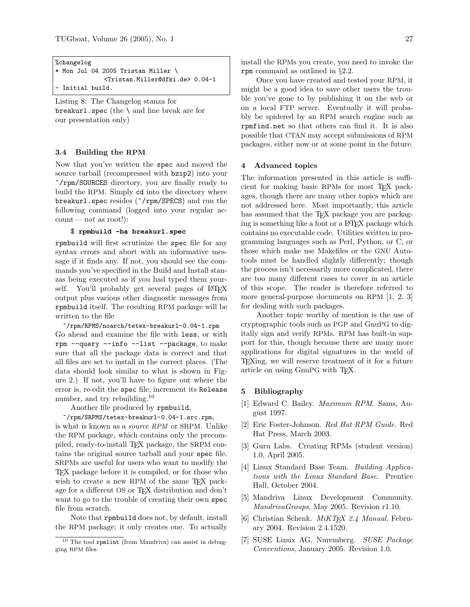```
%changelog
* Mon Jul 04 2005 Tristan Miller \
              <Tristan.Miller@dfki.de> 0.04-1
 Initial build.
```
Listing 8: The Changelog stanza for breakurl.spec (the  $\lambda$  and line break are for our presentation only)

#### <span id="page-10-6"></span>3.4 Building the RPM

Now that you've written the spec and moved the source tarball (recompressed with bzip2) into your ~/rpm/SOURCES directory, you are finally ready to build the RPM. Simply cd into the directory where breakurl.spec resides (~/rpm/SPECS) and run the following command (logged into your regular ac $count—not$  as root!):

### \$ **rpmbuild -ba breakurl.spec**

rpmbuild will first scrutinize the spec file for any syntax errors and abort with an informative message if it finds any. If not, you should see the commands you've specified in the Build and Install stanzas being executed as if you had typed them yourself. You'll probably get several pages of LAT<sub>EX</sub> output plus various other diagnostic messages from rpmbuild itself. The resulting RPM package will be written to the file

~/rpm/RPMS/noarch/tetex-breakurl-0.04-1.rpm Go ahead and examine the file with less, or with rpm --query --info --list --package, to make sure that all the package data is correct and that all files are set to install in the correct places. (The data should look similar to what is shown in Figure [2.](#page-4-1)) If not, you'll have to figure out where the error is, re-edit the spec file, increment its Release number, and try rebuilding.<sup>[10](#page-10-8)</sup>

Another file produced by rpmbuild,

#### ~/rpm/SRPMS/tetex-breakurl-0.04-1.src.rpm,

is what is known as a source RPM or SRPM. Unlike the RPM package, which contains only the precompiled, ready-to-install TEX package, the SRPM contains the original source tarball and your spec file. SRPMs are useful for users who want to modify the TEX package before it is compiled, or for those who wish to create a new RPM of the same T<sub>FX</sub> package for a different OS or TEX distribution and don't want to go to the trouble of creating their own spec file from scratch.

Note that rpmbuild does not, by default, install the RPM package; it only creates one. To actually

install the RPMs you create, you need to invoke the rpm command as outlined in §[2.2.](#page-3-2)

Once you have created and tested your RPM, it might be a good idea to save other users the trouble you've gone to by publishing it on the web or on a local FTP server. Eventually it will probably be spidered by an RPM search engine such as [rpmfind.net](http://rpmfind.net/) so that others can find it. It is also possible that CTAN may accept submissions of RPM packages, either now or at some point in the future.

#### <span id="page-10-2"></span>4 Advanced topics

The information presented in this article is sufficient for making basic RPMs for most TEX packages, though there are many other topics which are not addressed here. Most importantly, this article has assumed that the TFX package you are packaging is something like a font or a LATEX package which contains no executable code. Utilities written in programming languages such as Perl, Python, or C, or those which make use Makefiles or the GNU Autotools must be handled slightly differently; though the process isn't necessarily more complicated, there are too many different cases to cover in an article of this scope. The reader is therefore referred to more general-purpose documents on RPM [\[1,](#page-10-3) [2,](#page-10-9) [3\]](#page-10-10) for dealing with such packages.

Another topic worthy of mention is the use of cryptographic tools such as PGP and GnuPG to digitally sign and verify RPMs. RPM has built-in support for this, though because there are many more applications for digital signatures in the world of TEXing, we will reserve treatment of it for a future article on using GnuPG with TEX.

### 5 Bibliography

- <span id="page-10-3"></span>[1] Edward C. Bailey. Maximum RPM. Sams, August 1997.
- <span id="page-10-9"></span>[2] Eric Foster-Johnson. Red Hat RPM Guide. Red Hat Press, March 2003.
- <span id="page-10-10"></span>[3] Guru Labs. Creating RPMs (student version) 1.0, April 2005.
- <span id="page-10-0"></span>[4] Linux Standard Base Team. Building Applications with the Linux Standard Base. Prentice Hall, October 2004.
- <span id="page-10-4"></span>[5] Mandriva Linux Development Community. MandrivaGroups, May 2005. Revision r1.10.
- <span id="page-10-1"></span>[6] Christian Schenk. *MiKTEX 2.4 Manual*, February 2004. Revision 2.4.1520.
- <span id="page-10-5"></span>[7] SUSE Linux AG, Nuremberg. SUSE Package Conventions, January 2005. Revision 1.0.

<span id="page-10-8"></span> $10$  The tool rpmlint (from Mandriva) can assist in debugging RPM files.